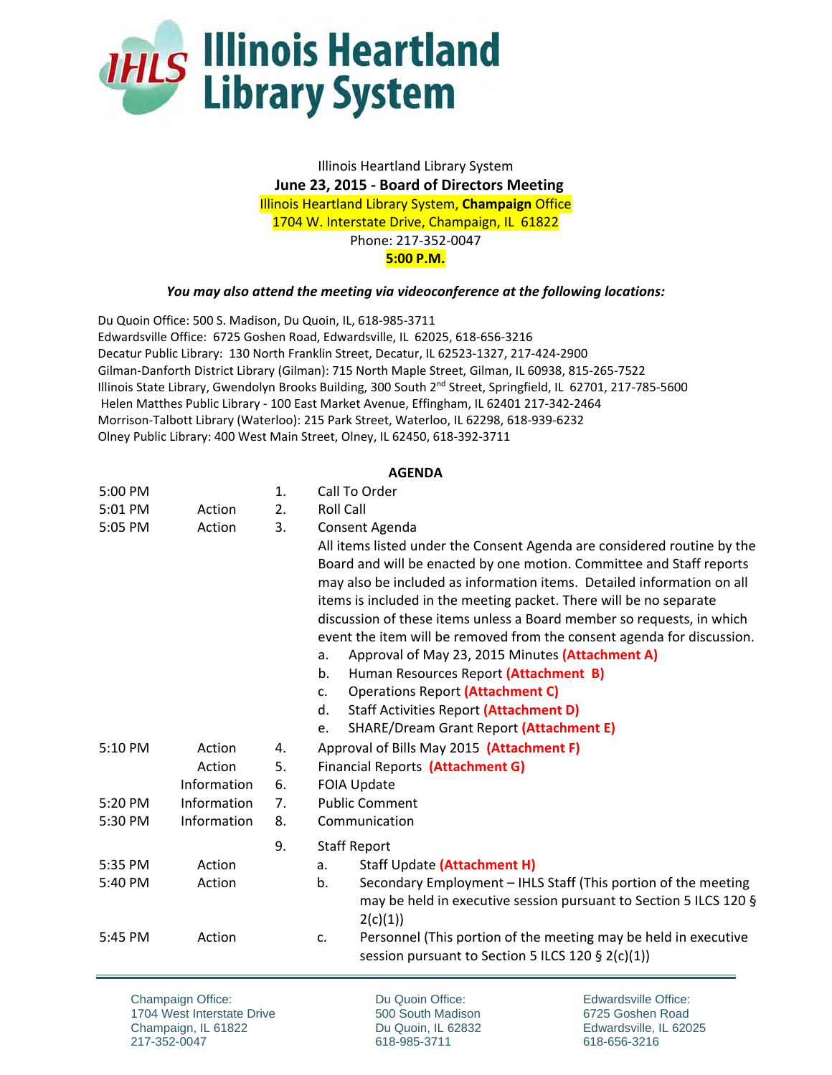

Illinois Heartland Library System  **June 23, 2015 ‐ Board of Directors Meeting**  Illinois Heartland Library System, **Champaign** Office 1704 W. Interstate Drive, Champaign, IL 61822 Phone: 217‐352‐0047 **5:00 P.M.**

## *You may also attend the meeting via videoconference at the following locations:*

Du Quoin Office: 500 S. Madison, Du Quoin, IL, 618‐985‐3711 Edwardsville Office: 6725 Goshen Road, Edwardsville, IL 62025, 618‐656‐3216 Decatur Public Library: 130 North Franklin Street, Decatur, IL 62523‐1327, 217‐424‐2900 Gilman‐Danforth District Library (Gilman): 715 North Maple Street, Gilman, IL 60938, 815‐265‐7522 Illinois State Library, Gwendolyn Brooks Building, 300 South 2nd Street, Springfield, IL 62701, 217‐785‐5600 Helen Matthes Public Library - 100 East Market Avenue, Effingham, IL 62401 217-342-2464 Morrison‐Talbott Library (Waterloo): 215 Park Street, Waterloo, IL 62298, 618‐939‐6232 Olney Public Library: 400 West Main Street, Olney, IL 62450, 618‐392‐3711

## **AGENDA**

| 5:00 PM |             | 1. | Call To Order                                                           |
|---------|-------------|----|-------------------------------------------------------------------------|
| 5:01 PM | Action      | 2. | <b>Roll Call</b>                                                        |
| 5:05 PM | Action      | 3. | Consent Agenda                                                          |
|         |             |    | All items listed under the Consent Agenda are considered routine by the |
|         |             |    | Board and will be enacted by one motion. Committee and Staff reports    |
|         |             |    | may also be included as information items. Detailed information on all  |
|         |             |    | items is included in the meeting packet. There will be no separate      |
|         |             |    | discussion of these items unless a Board member so requests, in which   |
|         |             |    | event the item will be removed from the consent agenda for discussion.  |
|         |             |    | Approval of May 23, 2015 Minutes (Attachment A)<br>a.                   |
|         |             |    | Human Resources Report (Attachment B)<br>b.                             |
|         |             |    | <b>Operations Report (Attachment C)</b><br>$C_{\star}$                  |
|         |             |    | Staff Activities Report (Attachment D)<br>d.                            |
|         |             |    | <b>SHARE/Dream Grant Report (Attachment E)</b><br>e.                    |
| 5:10 PM | Action      | 4. | Approval of Bills May 2015 (Attachment F)                               |
|         | Action      | 5. | Financial Reports (Attachment G)                                        |
|         | Information | 6. | <b>FOIA Update</b>                                                      |
| 5:20 PM | Information | 7. | <b>Public Comment</b>                                                   |
| 5:30 PM | Information | 8. | Communication                                                           |
|         |             | 9. | <b>Staff Report</b>                                                     |
| 5:35 PM | Action      |    | Staff Update (Attachment H)<br>a.                                       |
| 5:40 PM | Action      |    | Secondary Employment - IHLS Staff (This portion of the meeting<br>b.    |
|         |             |    | may be held in executive session pursuant to Section 5 ILCS 120 §       |
|         |             |    | 2(c)(1))                                                                |
| 5:45 PM | Action      |    | Personnel (This portion of the meeting may be held in executive<br>c.   |
|         |             |    | session pursuant to Section 5 ILCS 120 § 2(c)(1))                       |
|         |             |    |                                                                         |

Champaign Office: 1704 West Interstate Drive Champaign, IL 61822 217-352-0047

Du Quoin Office: 500 South Madison Du Quoin, IL 62832 618-985-3711

Edwardsville Office: 6725 Goshen Road Edwardsville, IL 62025 618-656-3216